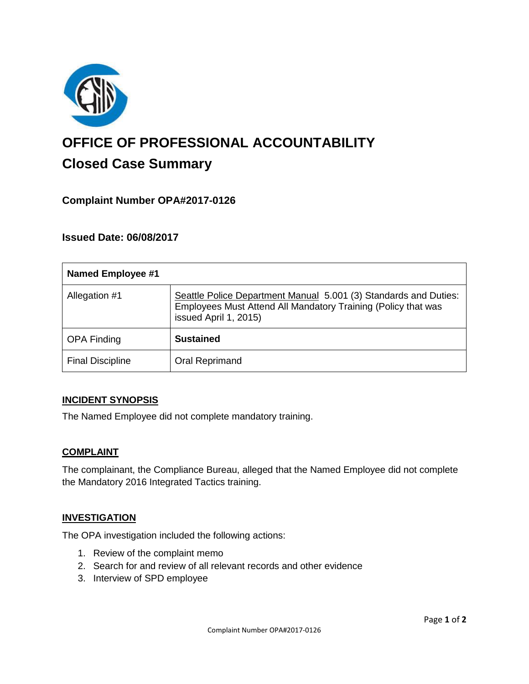

# **OFFICE OF PROFESSIONAL ACCOUNTABILITY Closed Case Summary**

# **Complaint Number OPA#2017-0126**

# **Issued Date: 06/08/2017**

| <b>Named Employee #1</b> |                                                                                                                                                            |
|--------------------------|------------------------------------------------------------------------------------------------------------------------------------------------------------|
| Allegation #1            | Seattle Police Department Manual 5.001 (3) Standards and Duties:<br>Employees Must Attend All Mandatory Training (Policy that was<br>issued April 1, 2015) |
| <b>OPA Finding</b>       | <b>Sustained</b>                                                                                                                                           |
| <b>Final Discipline</b>  | Oral Reprimand                                                                                                                                             |

#### **INCIDENT SYNOPSIS**

The Named Employee did not complete mandatory training.

#### **COMPLAINT**

The complainant, the Compliance Bureau, alleged that the Named Employee did not complete the Mandatory 2016 Integrated Tactics training.

#### **INVESTIGATION**

The OPA investigation included the following actions:

- 1. Review of the complaint memo
- 2. Search for and review of all relevant records and other evidence
- 3. Interview of SPD employee